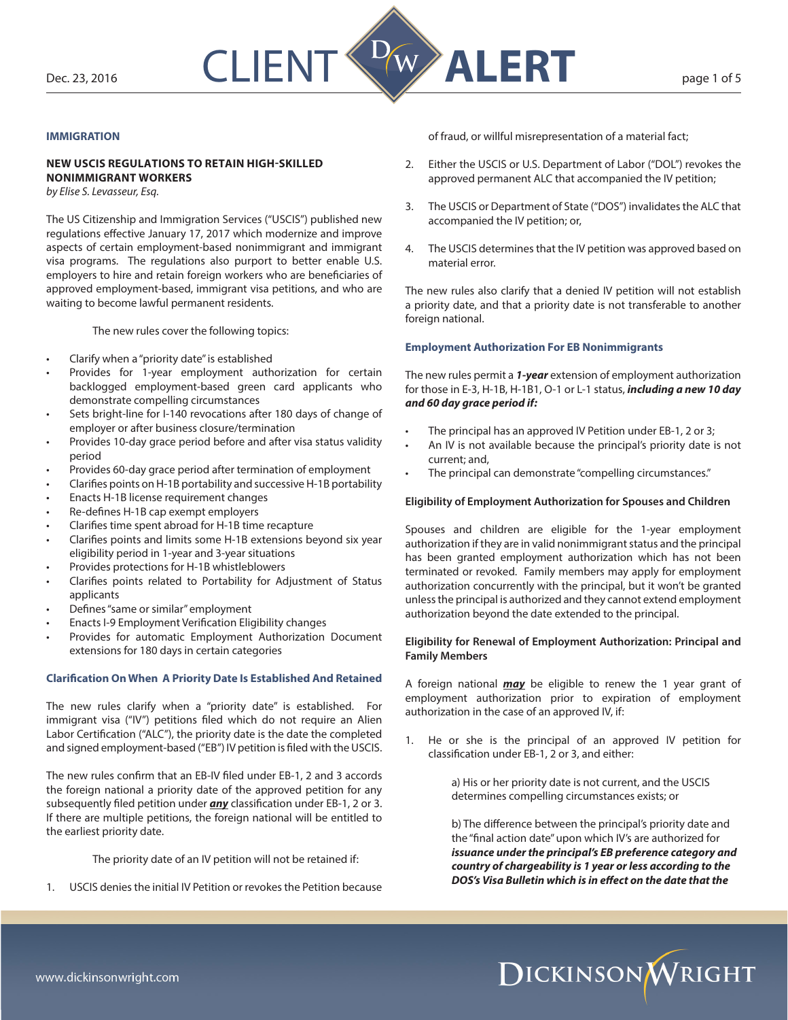

# **IMMIGRATION**

# **NEW USCIS REGULATIONS TO RETAIN HIGH-SKILLED NONIMMIGRANT WORKERS**

*by Elise S. Levasseur, Esq.*

The US Citizenship and Immigration Services ("USCIS") published new regulations effective January 17, 2017 which modernize and improve aspects of certain employment-based nonimmigrant and immigrant visa programs. The regulations also purport to better enable U.S. employers to hire and retain foreign workers who are beneficiaries of approved employment-based, immigrant visa petitions, and who are waiting to become lawful permanent residents.

The new rules cover the following topics:

- Clarify when a "priority date" is established
- Provides for 1-year employment authorization for certain backlogged employment-based green card applicants who demonstrate compelling circumstances
- Sets bright-line for I-140 revocations after 180 days of change of employer or after business closure/termination
- Provides 10-day grace period before and after visa status validity period
- Provides 60-day grace period after termination of employment
- Clarifies points on H-1B portability and successive H-1B portability
- Enacts H-1B license requirement changes
- Re-defines H-1B cap exempt employers
- Clarifies time spent abroad for H-1B time recapture
- Clarifies points and limits some H-1B extensions beyond six year eligibility period in 1-year and 3-year situations
- Provides protections for H-1B whistleblowers
- Clarifies points related to Portability for Adjustment of Status applicants
- Defines "same or similar" employment
- Enacts I-9 Employment Verification Eligibility changes
- Provides for automatic Employment Authorization Document extensions for 180 days in certain categories

## **Clarification On When A Priority Date Is Established And Retained**

The new rules clarify when a "priority date" is established. For immigrant visa ("IV") petitions filed which do not require an Alien Labor Certification ("ALC"), the priority date is the date the completed and signed employment-based ("EB") IV petition is filed with the USCIS.

The new rules confirm that an EB-IV filed under EB-1, 2 and 3 accords the foreign national a priority date of the approved petition for any subsequently filed petition under *any* classification under EB-1, 2 or 3. If there are multiple petitions, the foreign national will be entitled to the earliest priority date.

The priority date of an IV petition will not be retained if:

USCIS denies the initial IV Petition or revokes the Petition because

of fraud, or willful misrepresentation of a material fact;

- 2. Either the USCIS or U.S. Department of Labor ("DOL") revokes the approved permanent ALC that accompanied the IV petition;
- 3. The USCIS or Department of State ("DOS") invalidates the ALC that accompanied the IV petition; or,
- 4. The USCIS determines that the IV petition was approved based on material error.

The new rules also clarify that a denied IV petition will not establish a priority date, and that a priority date is not transferable to another foreign national.

## **Employment Authorization For EB Nonimmigrants**

The new rules permit a *1-year* extension of employment authorization for those in E-3, H-1B, H-1B1, O-1 or L-1 status, *including a new 10 day and 60 day grace period if:*

- The principal has an approved IV Petition under EB-1, 2 or 3;
- An IV is not available because the principal's priority date is not current; and,
- The principal can demonstrate "compelling circumstances."

# **Eligibility of Employment Authorization for Spouses and Children**

Spouses and children are eligible for the 1-year employment authorization if they are in valid nonimmigrant status and the principal has been granted employment authorization which has not been terminated or revoked. Family members may apply for employment authorization concurrently with the principal, but it won't be granted unless the principal is authorized and they cannot extend employment authorization beyond the date extended to the principal.

## **Eligibility for Renewal of Employment Authorization: Principal and Family Members**

A foreign national *may* be eligible to renew the 1 year grant of employment authorization prior to expiration of employment authorization in the case of an approved IV, if:

1. He or she is the principal of an approved IV petition for classification under EB-1, 2 or 3, and either:

> a) His or her priority date is not current, and the USCIS determines compelling circumstances exists; or

b) The difference between the principal's priority date and the "final action date" upon which IV's are authorized for *issuance under the principal's EB preference category and country of chargeability is 1 year or less according to the DOS's Visa Bulletin which is in effect on the date that the* 

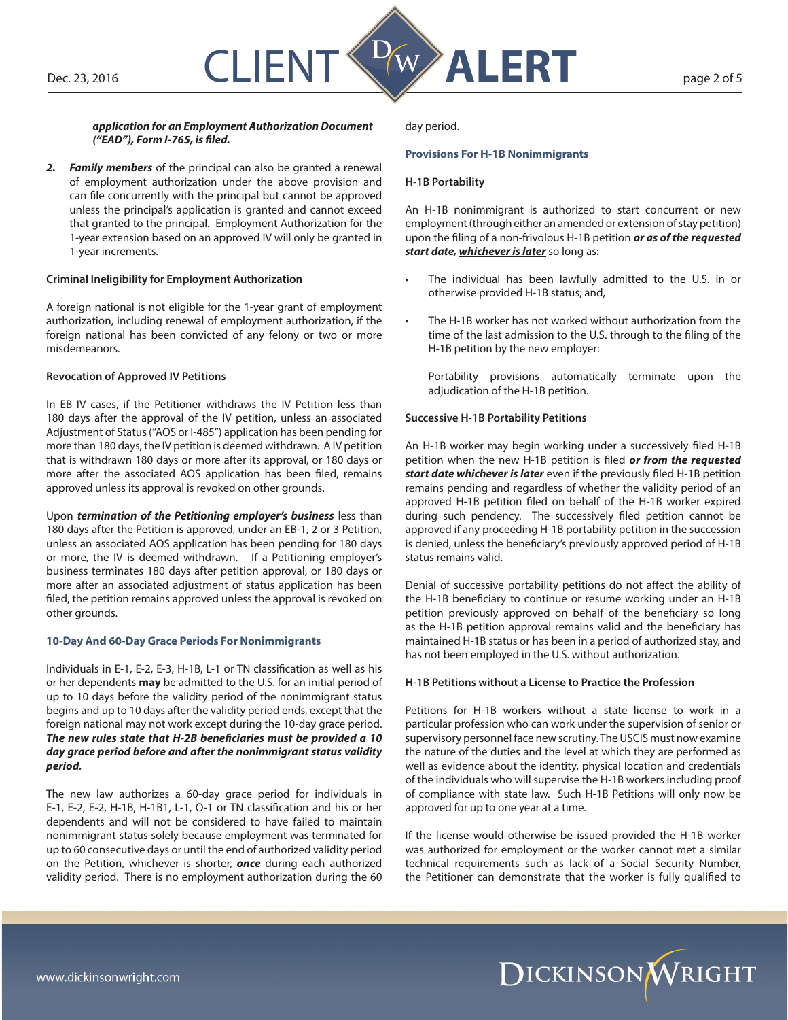

## *application for an Employment Authorization Document ("EAD"), Form I-765, is filed.*

*2. Family members* of the principal can also be granted a renewal of employment authorization under the above provision and can file concurrently with the principal but cannot be approved unless the principal's application is granted and cannot exceed that granted to the principal. Employment Authorization for the 1-year extension based on an approved IV will only be granted in 1-year increments.

## **Criminal Ineligibility for Employment Authorization**

A foreign national is not eligible for the 1-year grant of employment authorization, including renewal of employment authorization, if the foreign national has been convicted of any felony or two or more misdemeanors.

### **Revocation of Approved IV Petitions**

In EB IV cases, if the Petitioner withdraws the IV Petition less than 180 days after the approval of the IV petition, unless an associated Adjustment of Status ("AOS or I-485") application has been pending for more than 180 days, the IV petition is deemed withdrawn. A IV petition that is withdrawn 180 days or more after its approval, or 180 days or more after the associated AOS application has been filed, remains approved unless its approval is revoked on other grounds.

Upon *termination of the Petitioning employer's business* less than 180 days after the Petition is approved, under an EB-1, 2 or 3 Petition, unless an associated AOS application has been pending for 180 days or more, the IV is deemed withdrawn. If a Petitioning employer's business terminates 180 days after petition approval, or 180 days or more after an associated adjustment of status application has been filed, the petition remains approved unless the approval is revoked on other grounds.

### **10-Day And 60-Day Grace Periods For Nonimmigrants**

Individuals in E-1, E-2, E-3, H-1B, L-1 or TN classification as well as his or her dependents **may** be admitted to the U.S. for an initial period of up to 10 days before the validity period of the nonimmigrant status begins and up to 10 days after the validity period ends, except that the foreign national may not work except during the 10-day grace period. *The new rules state that H-2B beneficiaries must be provided a 10 day grace period before and after the nonimmigrant status validity period.*

The new law authorizes a 60-day grace period for individuals in E-1, E-2, E-2, H-1B, H-1B1, L-1, O-1 or TN classification and his or her dependents and will not be considered to have failed to maintain nonimmigrant status solely because employment was terminated for up to 60 consecutive days or until the end of authorized validity period on the Petition, whichever is shorter, *once* during each authorized validity period. There is no employment authorization during the 60 day period.

## **Provisions For H-1B Nonimmigrants**

### **H-1B Portability**

An H-1B nonimmigrant is authorized to start concurrent or new employment (through either an amended or extension of stay petition) upon the filing of a non-frivolous H-1B petition *or as of the requested start date, whichever is later* so long as:

- The individual has been lawfully admitted to the U.S. in or otherwise provided H-1B status; and,
- The H-1B worker has not worked without authorization from the time of the last admission to the U.S. through to the filing of the H-1B petition by the new employer:

Portability provisions automatically terminate upon the adjudication of the H-1B petition.

# **Successive H-1B Portability Petitions**

An H-1B worker may begin working under a successively filed H-1B petition when the new H-1B petition is filed *or from the requested start date whichever is later* even if the previously filed H-1B petition remains pending and regardless of whether the validity period of an approved H-1B petition filed on behalf of the H-1B worker expired during such pendency. The successively filed petition cannot be approved if any proceeding H-1B portability petition in the succession is denied, unless the beneficiary's previously approved period of H-1B status remains valid.

Denial of successive portability petitions do not affect the ability of the H-1B beneficiary to continue or resume working under an H-1B petition previously approved on behalf of the beneficiary so long as the H-1B petition approval remains valid and the beneficiary has maintained H-1B status or has been in a period of authorized stay, and has not been employed in the U.S. without authorization.

### **H-1B Petitions without a License to Practice the Profession**

Petitions for H-1B workers without a state license to work in a particular profession who can work under the supervision of senior or supervisory personnel face new scrutiny. The USCIS must now examine the nature of the duties and the level at which they are performed as well as evidence about the identity, physical location and credentials of the individuals who will supervise the H-1B workers including proof of compliance with state law. Such H-1B Petitions will only now be approved for up to one year at a time.

If the license would otherwise be issued provided the H-1B worker was authorized for employment or the worker cannot met a similar technical requirements such as lack of a Social Security Number, the Petitioner can demonstrate that the worker is fully qualified to

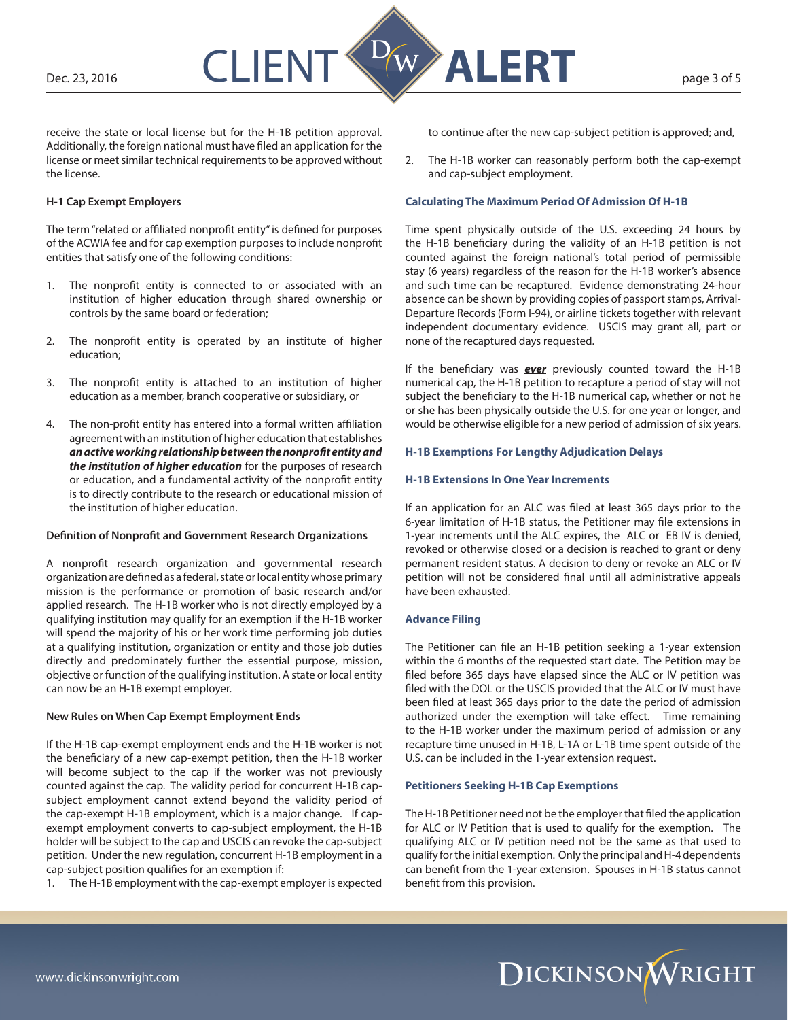

receive the state or local license but for the H-1B petition approval. Additionally, the foreign national must have filed an application for the license or meet similar technical requirements to be approved without the license.

## **H-1 Cap Exempt Employers**

The term "related or affiliated nonprofit entity" is defined for purposes of the ACWIA fee and for cap exemption purposes to include nonprofit entities that satisfy one of the following conditions:

- 1. The nonprofit entity is connected to or associated with an institution of higher education through shared ownership or controls by the same board or federation;
- 2. The nonprofit entity is operated by an institute of higher education;
- 3. The nonprofit entity is attached to an institution of higher education as a member, branch cooperative or subsidiary, or
- 4. The non-profit entity has entered into a formal written affiliation agreement with an institution of higher education that establishes *an active working relationship between the nonprofit entity and the institution of higher education* for the purposes of research or education, and a fundamental activity of the nonprofit entity is to directly contribute to the research or educational mission of the institution of higher education.

## **Definition of Nonprofit and Government Research Organizations**

A nonprofit research organization and governmental research organization are defined as a federal, state or local entity whose primary mission is the performance or promotion of basic research and/or applied research. The H-1B worker who is not directly employed by a qualifying institution may qualify for an exemption if the H-1B worker will spend the majority of his or her work time performing job duties at a qualifying institution, organization or entity and those job duties directly and predominately further the essential purpose, mission, objective or function of the qualifying institution. A state or local entity can now be an H-1B exempt employer.

### **New Rules on When Cap Exempt Employment Ends**

If the H-1B cap-exempt employment ends and the H-1B worker is not the beneficiary of a new cap-exempt petition, then the H-1B worker will become subject to the cap if the worker was not previously counted against the cap. The validity period for concurrent H-1B capsubject employment cannot extend beyond the validity period of the cap-exempt H-1B employment, which is a major change. If capexempt employment converts to cap-subject employment, the H-1B holder will be subject to the cap and USCIS can revoke the cap-subject petition. Under the new regulation, concurrent H-1B employment in a cap-subject position qualifies for an exemption if:

1. The H-1B employment with the cap-exempt employer is expected

to continue after the new cap-subject petition is approved; and,

2. The H-1B worker can reasonably perform both the cap-exempt and cap-subject employment.

# **Calculating The Maximum Period Of Admission Of H-1B**

Time spent physically outside of the U.S. exceeding 24 hours by the H-1B beneficiary during the validity of an H-1B petition is not counted against the foreign national's total period of permissible stay (6 years) regardless of the reason for the H-1B worker's absence and such time can be recaptured. Evidence demonstrating 24-hour absence can be shown by providing copies of passport stamps, Arrival-Departure Records (Form I-94), or airline tickets together with relevant independent documentary evidence. USCIS may grant all, part or none of the recaptured days requested.

If the beneficiary was *ever* previously counted toward the H-1B numerical cap, the H-1B petition to recapture a period of stay will not subject the beneficiary to the H-1B numerical cap, whether or not he or she has been physically outside the U.S. for one year or longer, and would be otherwise eligible for a new period of admission of six years.

## **H-1B Exemptions For Lengthy Adjudication Delays**

## **H-1B Extensions In One Year Increments**

If an application for an ALC was filed at least 365 days prior to the 6-year limitation of H-1B status, the Petitioner may file extensions in 1-year increments until the ALC expires, the ALC or EB IV is denied, revoked or otherwise closed or a decision is reached to grant or deny permanent resident status. A decision to deny or revoke an ALC or IV petition will not be considered final until all administrative appeals have been exhausted.

### **Advance Filing**

The Petitioner can file an H-1B petition seeking a 1-year extension within the 6 months of the requested start date. The Petition may be filed before 365 days have elapsed since the ALC or IV petition was filed with the DOL or the USCIS provided that the ALC or IV must have been filed at least 365 days prior to the date the period of admission authorized under the exemption will take effect. Time remaining to the H-1B worker under the maximum period of admission or any recapture time unused in H-1B, L-1A or L-1B time spent outside of the U.S. can be included in the 1-year extension request.

# **Petitioners Seeking H-1B Cap Exemptions**

The H-1B Petitioner need not be the employer that filed the application for ALC or IV Petition that is used to qualify for the exemption. The qualifying ALC or IV petition need not be the same as that used to qualify for the initial exemption. Only the principal and H-4 dependents can benefit from the 1-year extension. Spouses in H-1B status cannot benefit from this provision.

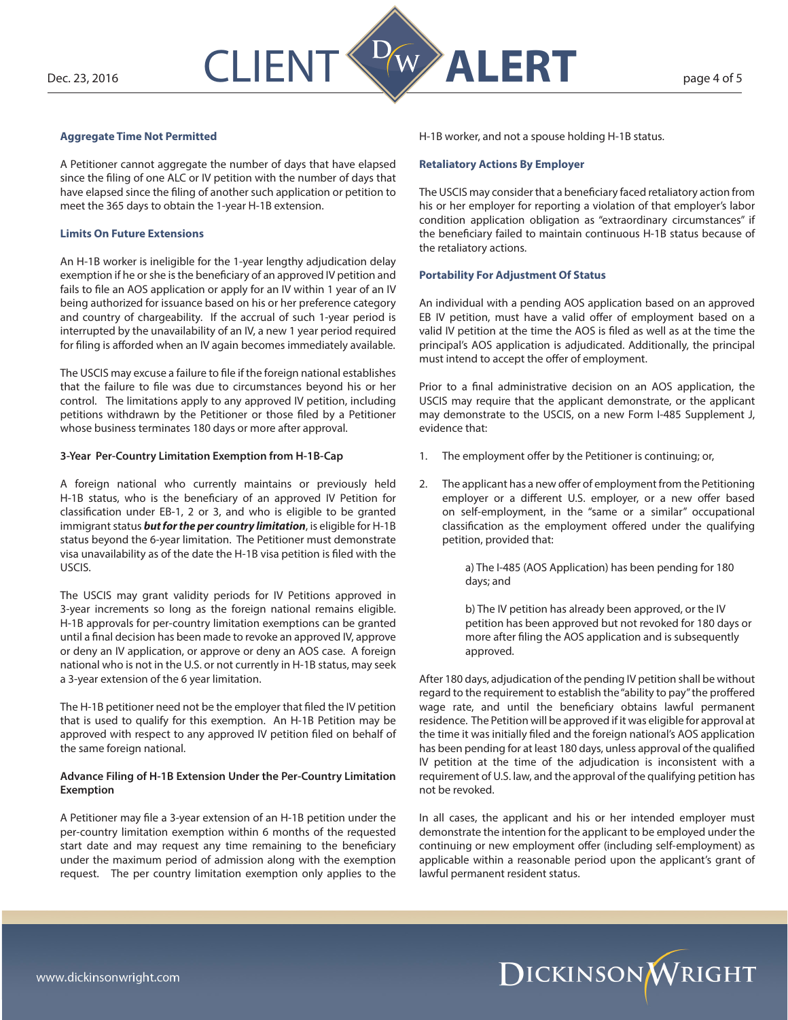

## **Aggregate Time Not Permitted**

A Petitioner cannot aggregate the number of days that have elapsed since the filing of one ALC or IV petition with the number of days that have elapsed since the filing of another such application or petition to meet the 365 days to obtain the 1-year H-1B extension.

### **Limits On Future Extensions**

An H-1B worker is ineligible for the 1-year lengthy adjudication delay exemption if he or she is the beneficiary of an approved IV petition and fails to file an AOS application or apply for an IV within 1 year of an IV being authorized for issuance based on his or her preference category and country of chargeability. If the accrual of such 1-year period is interrupted by the unavailability of an IV, a new 1 year period required for filing is afforded when an IV again becomes immediately available.

The USCIS may excuse a failure to file if the foreign national establishes that the failure to file was due to circumstances beyond his or her control. The limitations apply to any approved IV petition, including petitions withdrawn by the Petitioner or those filed by a Petitioner whose business terminates 180 days or more after approval.

### **3-Year Per-Country Limitation Exemption from H-1B-Cap**

A foreign national who currently maintains or previously held H-1B status, who is the beneficiary of an approved IV Petition for classification under EB-1, 2 or 3, and who is eligible to be granted immigrant status *but for the per country limitation*, is eligible for H-1B status beyond the 6-year limitation. The Petitioner must demonstrate visa unavailability as of the date the H-1B visa petition is filed with the USCIS.

The USCIS may grant validity periods for IV Petitions approved in 3-year increments so long as the foreign national remains eligible. H-1B approvals for per-country limitation exemptions can be granted until a final decision has been made to revoke an approved IV, approve or deny an IV application, or approve or deny an AOS case. A foreign national who is not in the U.S. or not currently in H-1B status, may seek a 3-year extension of the 6 year limitation.

The H-1B petitioner need not be the employer that filed the IV petition that is used to qualify for this exemption. An H-1B Petition may be approved with respect to any approved IV petition filed on behalf of the same foreign national.

## **Advance Filing of H-1B Extension Under the Per-Country Limitation Exemption**

A Petitioner may file a 3-year extension of an H-1B petition under the per-country limitation exemption within 6 months of the requested start date and may request any time remaining to the beneficiary under the maximum period of admission along with the exemption request. The per country limitation exemption only applies to the

H-1B worker, and not a spouse holding H-1B status.

# **Retaliatory Actions By Employer**

The USCIS may consider that a beneficiary faced retaliatory action from his or her employer for reporting a violation of that employer's labor condition application obligation as "extraordinary circumstances" if the beneficiary failed to maintain continuous H-1B status because of the retaliatory actions.

## **Portability For Adjustment Of Status**

An individual with a pending AOS application based on an approved EB IV petition, must have a valid offer of employment based on a valid IV petition at the time the AOS is filed as well as at the time the principal's AOS application is adjudicated. Additionally, the principal must intend to accept the offer of employment.

Prior to a final administrative decision on an AOS application, the USCIS may require that the applicant demonstrate, or the applicant may demonstrate to the USCIS, on a new Form I-485 Supplement J, evidence that:

- 1. The employment offer by the Petitioner is continuing; or,
- 2. The applicant has a new offer of employment from the Petitioning employer or a different U.S. employer, or a new offer based on self-employment, in the "same or a similar" occupational classification as the employment offered under the qualifying petition, provided that:

a) The I-485 (AOS Application) has been pending for 180 days; and

b) The IV petition has already been approved, or the IV petition has been approved but not revoked for 180 days or more after filing the AOS application and is subsequently approved.

After 180 days, adjudication of the pending IV petition shall be without regard to the requirement to establish the "ability to pay" the proffered wage rate, and until the beneficiary obtains lawful permanent residence. The Petition will be approved if it was eligible for approval at the time it was initially filed and the foreign national's AOS application has been pending for at least 180 days, unless approval of the qualified IV petition at the time of the adjudication is inconsistent with a requirement of U.S. law, and the approval of the qualifying petition has not be revoked.

In all cases, the applicant and his or her intended employer must demonstrate the intention for the applicant to be employed under the continuing or new employment offer (including self-employment) as applicable within a reasonable period upon the applicant's grant of lawful permanent resident status.